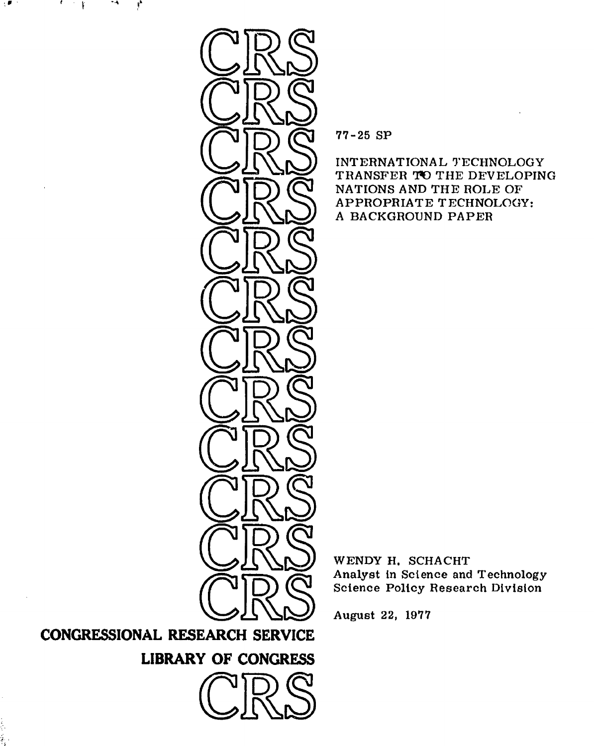

**77-25 SP**

INTERNATIONAL TECHNOLOGY TRANSFER TO THE DEVELOPING NATIONS AND THE ROLE OF APPROPRIATE TECHNOLOGY: A BACKGROUND PAPER

WENDY H. **SCHACHT** Analyst in Science and Technology Science Policy Research Division

August **22, 1977**

**CONGRESSIONAL RESEARCH SERVICE**

**-,** t '

**LIBRARY OF CONGRESS** 

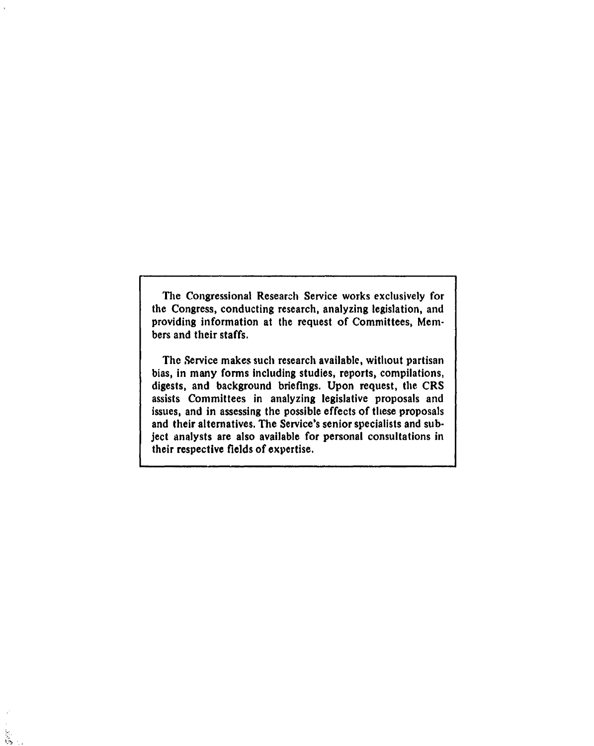The Congressional Research Service works exclusively for the Congress, conducting research, analyzing legislation, and providing information at the request of Committees, Members and their staffs.

The Service makes such research available, without partisan bias, in many forms including studies, reports, compilations, digests, and background briefings. Upon request, the CRS assists Committees in analyzing legislative proposals and issues, and in assessing the possible effects of these proposals and their alternatives. The Service's senior specialists and subject analysts are also available for personal consultations in their respective fields of expertise.

 $\frac{1}{2}$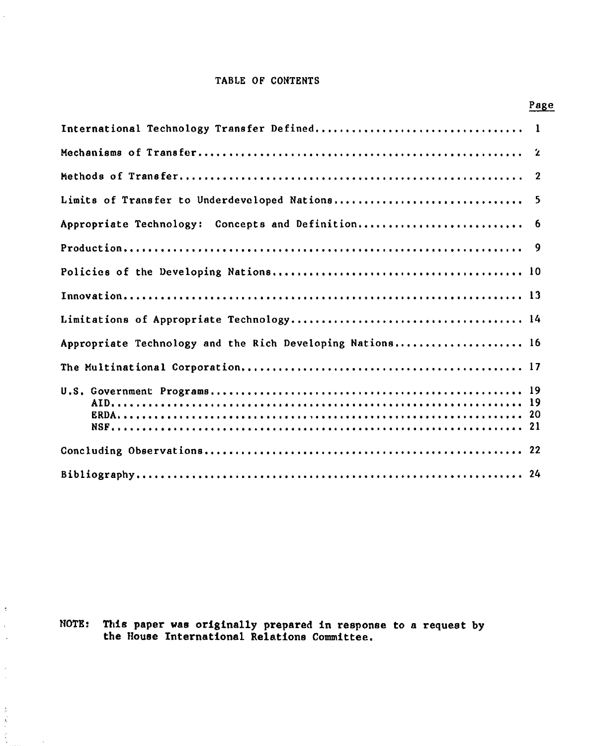## TABLE OF **CONTENTS**

 $\ddot{\phantom{a}}$ 

 $\tilde{\mathbb{C}}$  $\tilde{\mathcal{L}}$  $\hat{\boldsymbol{\beta}}$ 

 $\frac{1}{2}$ 

医白色的 医前

 $\hat{\boldsymbol{\cdot} }$ 

|                                                           | Page                    |
|-----------------------------------------------------------|-------------------------|
|                                                           |                         |
|                                                           |                         |
|                                                           | $\overline{\mathbf{2}}$ |
| Limits of Transfer to Underdeveloped Nations              | 5                       |
| Appropriate Technology: Concepts and Definition           | -6                      |
|                                                           | - 9                     |
|                                                           |                         |
|                                                           |                         |
|                                                           |                         |
| Appropriate Technology and the Rich Developing Nations 16 |                         |
|                                                           |                         |
|                                                           |                         |
|                                                           |                         |
|                                                           |                         |

NOTE: This paper was originally prepared in response to a request **by** the House International Relations Committee.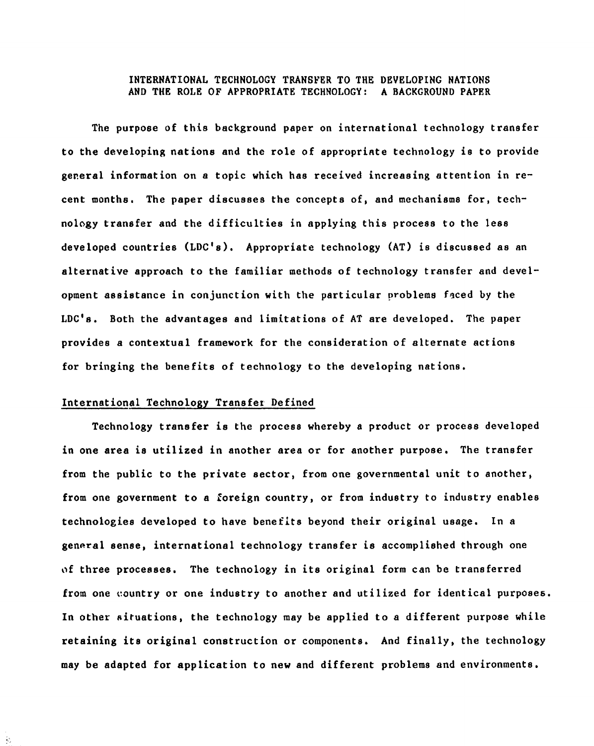## INTERNATIONAL TECHNOLOGY TRANSFER TO THE DEVELOPING NATIONS AND THE ROLE OF APPROPRIATE TECHNOLOGY: A BACKGROUND PAPER

The purpose of this background paper on international technology transfer to the developing nations and the role of appropriate technology is to provide general information on a topic which has received increasing attention in recent months. The paper discusses the concepts of, and mechanisms for, technology transfer and the difficulties in applying this process to the less developed countries (LDC's). Appropriate technology **(AT)** is discussed as an alternative approach to the familiar methods of technology transfer and development assistance in conjunction with the particular problems faced **by** the **LDC's.** Both the advantages and limitations of AT are developed. The paper provides a contextual framework for the consideration of alternate actions for bringing the benefits of technology to the developing nations.

#### International Technology Transfer Defined

Technology transfer is the process whereby a product or process developed in one area is utilized in another area or for another purpose. The transfer from the public to the private sector, from one governmental unit to another, from one government to a foreign country, or from industry to industry enables technologies developed to have benefits beyond their original usage. In a general sense, international technology transfer is accomplished through one of three processes. The technology in its original form can be transferred from one country or one industry to another and utilized for identical purposes. In other situations, the technology may be applied to a different purpose while retaining its original construction or components. And finally, the technology may be adapted for application to new and different problems and environments.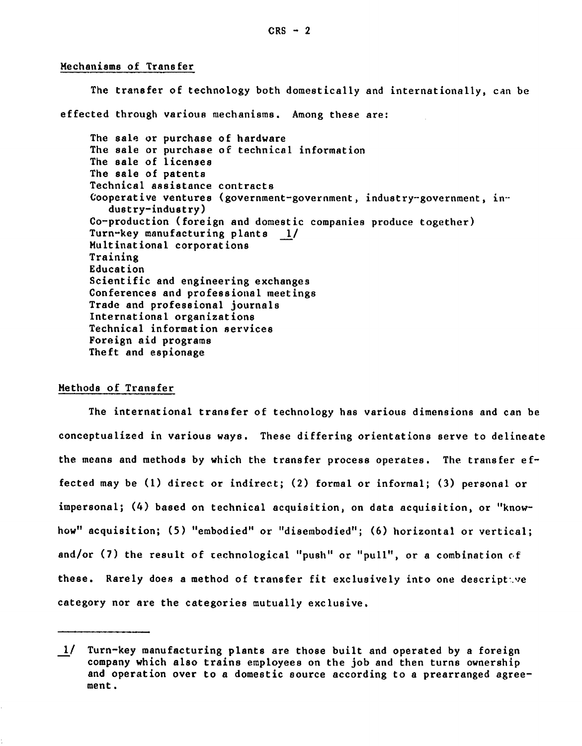Mechanisms of Transfer

The transfer of technology both domestically and internationally, can be effected through various mechanisms. Among these are: The sale or purchase of hardware The sale or purchase of technical information The sale of licenses The sale of patents Technical assistance contracts Cooperative ventures (government-government, industry-government, industry-industry) Co-production (foreign and domestic companies produce together) Turn-key manufacturing plants 1/ Multinational corporations Training Education Scientific and engineering exchanges Conferences and professional meetings Trade and professional journals International organizations Technical information services Foreign aid programs Theft and espionage

## Methods of Transfer

The international transfer of technology has various dimensions and can be conceptualized in various ways. These differing orientations serve to delineate the means and methods **by** which the transfer process operates. The transfer effected may be **(1)** direct or indirect; (2) formal or informal; **(3)** personal or impersonal; (4) based on technical acquisition, on data acquisition, or "knowhow" acquisition; **(5)** "embodied" or "disembodied"; **(6)** horizontal or vertical; and/or **(7)** the result of technological "push" or "pull", or a combination **of** these. Rarely does a method of transfer fit exclusively into one descriptive category nor are the categories mutually exclusive.

**<sup>1/</sup>** Turn-key manufacturing plants are those built and operated **by** a foreign company which also trains employees on the **job** and then turns ownership and operation over to a domestic source according to a prearranged agreement.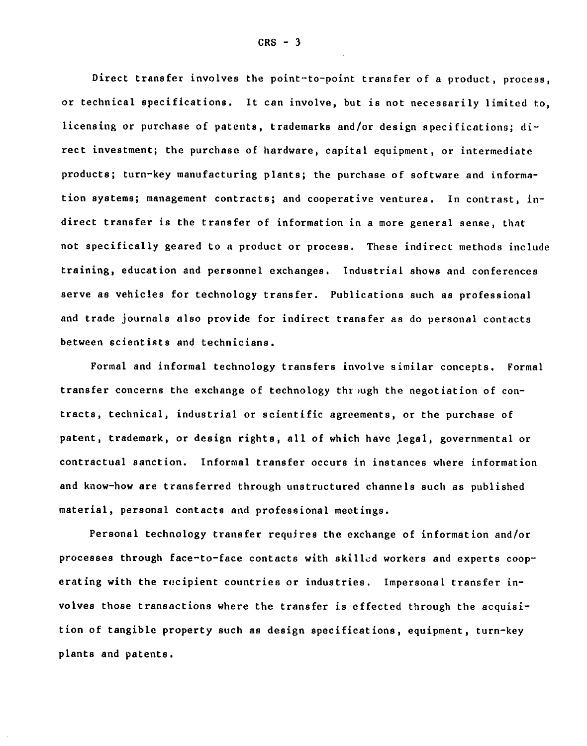Direct transfer involves the point-to-point transfer of a product, process, or technical specifications. It can involve, but is not necessarily limited to, licensing or purchase of patents, trademarks and/or design specifications; direct investment; the purchase of hardware, capital equipment, or intermediate products; turn-key manufacturing plants; the purchase of software and information systems; management contracts; and cooperative ventures. In contrast, indirect transfer is the transfer of information in a more general sense, that not specifically geared to a product or process. These indirect methods include training, education and personnel exchanges. Industrial shows and conferences serve as vehicles for technology transfer. Publications such as professional and trade journals also provide for indirect transfer as do personal contacts between scientists and technicians.

Formal and informal technology transfers involve similar concepts. Formal transfer concerns the exchange of technology through the negotiation of contracts, technical, industrial or scientific agreements, or the purchase of patent, trademark, or design rights, all of which have legal, governmental or contractual sanction. Informal transfer occurs in instances where information and know-how are transferred through unstructured channels such as published material, personal contacts and professional meetings.

Personal technology transfer requires the exchange of information and/or processes through face-to-face contacts with skilled workers and experts cooperating with the recipient countries or industries. Impersonal transfer involves those transactions where the transfer is effected through the acquisition of tangible property such as design specifications, equipment, turn-key plants and patents.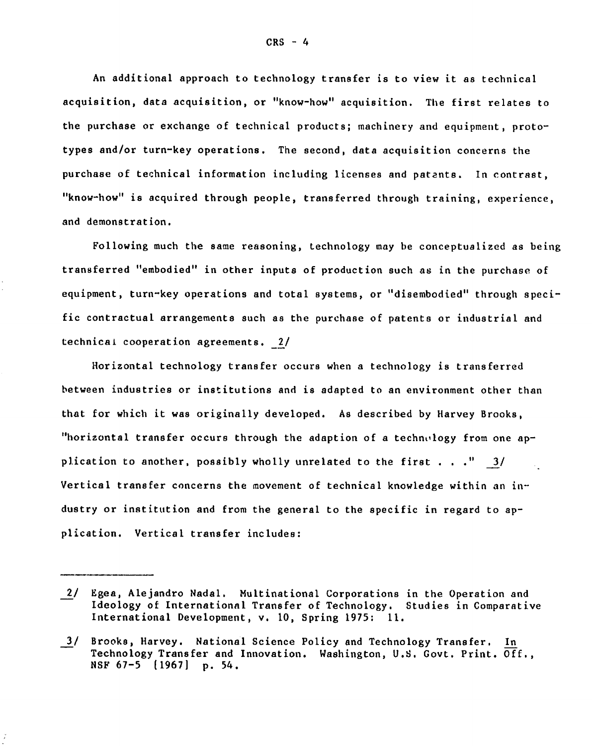An additional approach to technology transfer is to view it as technical acquisition, data acquisition, or "know-how" acquisition. The first relates to the purchase or exchange of technical products; machinery and equipment, prototypes and/or turn-key operations. The second, data acquisition concerns the purchase of technical information including licenses and patents. In contrast, "know-how" is acquired through people, transferred through training, experience, and demonstration.

Following much the same reasoning, technology may be conceptualized as being transferred "embodied" in other inputs of production such as in the purchase of equipment, turn-key operations and total systems, or "disembodied" through specific contractual arrangements such as the purchase of patents or industrial and technical cooperation agreements. 2/

Horizontal technology transfer occurs when a technology is transferred between industries or institutions and is adapted to an environment other than that for which it was originally developed. As described by Harvey Brooks, "horizontal transfer occurs through the adaption of a technology from one application to another, possibly wholly unrelated to the first . . . " 3/ Vertical transfer concerns the movement of technical knowledge within an industry or institution and from the general to the specific in regard to application. Vertical transfer includes:

<sup>2/</sup> Egea, Alejandro Nadal. Multinational Corporations in the Operation and Ideology of International Transfer of Technology. Studies in Comparative International Development, v. 10, Spring **1975:** 11.

<sup>3/</sup> Brooks, Harvey. National Science Policy and Technology Transfer. In Technology Transfer and Innovation. Washington, U.S. Govt. Print. Off., **NSF 67-5** (1967] **p.** 54.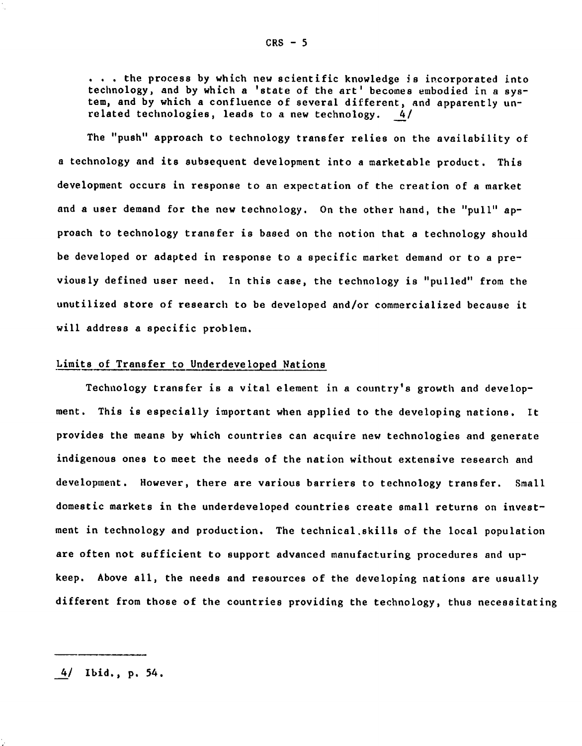. . . the process **by** which new scientific knowledge is incorporated into technology, and **by** which a 'state of the art' becomes embodied in a **sys**tem, and **by** which a confluence of several different, and apparently unrelated technologies, leads to a new technology. 4/

The "push" approach to technology transfer relies on the availability of a technology and its subsequent development into a marketable product. This development occurs in response to an expectation of the creation of a market and a user demand for the new technology. On the other hand, the "pull" approach to technology transfer is based on the notion that a technology should be developed or adapted in response to a specific market demand or to a previously defined user need. In this case, the technology is "pulled" from the unutilized store of research to be developed and/or commercialized because it will address a specific problem.

## Limits of Transfer to Underdeveloped Nations

Technology transfer is a vital element in a country's growth and development. This is especially important when applied to the developing nations. It provides the means **by** which countries can acquire new technologies and generate indigenous ones to meet the needs of the nation without extensive research and development. However, there are various barriers to technology transfer. Small domestic markets in the underdeveloped countries create small returns on investment in technology and production. The technical.skills of the local population are often not sufficient to support advanced manufacturing procedures and upkeep. Above all, the needs and resources of the developing nations are usually different from those of the countries providing the technology, thus necessitating

4/ Ibid., **p.** 54.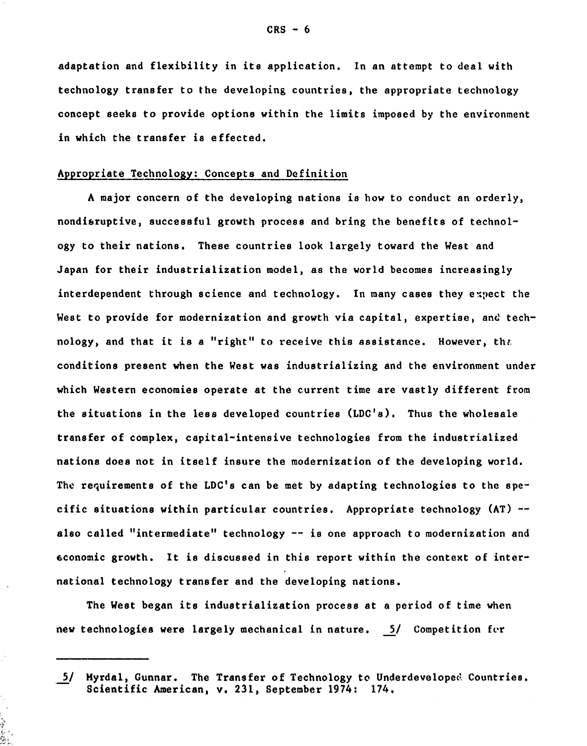adaptation and flexibility in its application. In an attempt to deal with technology transfer to the developing countries, the appropriate technology concept seeks to provide options within the limits imposed **by** the environment in which the transfer is effected.

## Appropriate Technology: Concepts and Definition

A major concern of the developing nations is how to conduct an orderly, nondisruptive, successful growth process and bring the benefits of technology to their nations. These countries look largely toward the West and Japan for their industrialization model, as the world becomes increasingly interdependent through science and technology. In many cases they expect the West to provide for modernization and growth via capital, expertise, and technology, and that it is a "right" to receive this assistance. However, tht. conditions present when the West was industrializing and the environment under which Western economies operate at the current time are vastly different from the situations in the less developed countries **(LDC's).** Thus the wholesale transfer of complex, capital-intensive technologies from the industrialized nations does not in itself insure the modernization of the developing world. The requirements of the LDC's can be met **by** adapting technologies to the specific situations within particular countries. Appropriate technology **(AT) -** also called "intermediate" technology **--** is one approach to modernization and economic growth. It is discussed in this report within the context of international technology transfer and the developing nations.

The West began its industrialization process at a period of time when new technologies were largely mechanical in nature. **5/** Competition for

į

**<sup>5/</sup>** Myrdal, Gunnar. The Transfer of Technology to Underdeveloped Countries. Scientific American, v. **231,** September 1974: 174.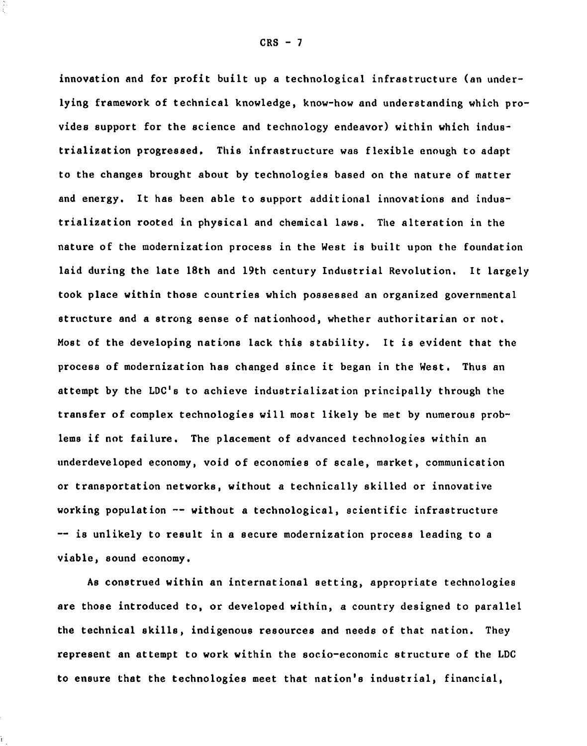innovation and for profit built up a technological infrastructure (an underlying framework of technical knowledge, know-how and understanding which provides support for the science and technology endeavor) within which industrialization progressed, This infrastructure was flexible enough to adapt to the changes brought about by technologies based on the nature of matter and energy. It has been able to support additional innovations and industrialization rooted in physical and chemical laws. The alteration in the nature of the modernization process in the West is built upon the foundation laid during the late 18th and 19th century Industrial Revolution. It largely took place within those countries which possessed an organized governmental structure and a strong sense of nationhood, whether authoritarian or not. Most of the developing nations lack this stability. It is evident that the process of modernization has changed since it began in the West. Thus an attempt by the **LDC's** to achieve industrialization principally through the transfer of complex technologies will most likely be met **by** numerous problems if not failure. The placement of advanced technologies within an underdeveloped economy, void of economies of scale, market, communication or transportation networks, without a technically skilled or innovative working population  $-$ - without a technological, scientific infrastructure -- is unlikely to result in a secure modernization process leading to a viable, sound economy.

**As** construed within an international setting, appropriate technologies are those introduced to, or developed within, a country designed to parallel the technical skills, indigenous resources and needs of that nation. They represent an attempt to work within the socio-economic structure of the **LDC** to ensure that the technologies meet that nation's industrial, financial,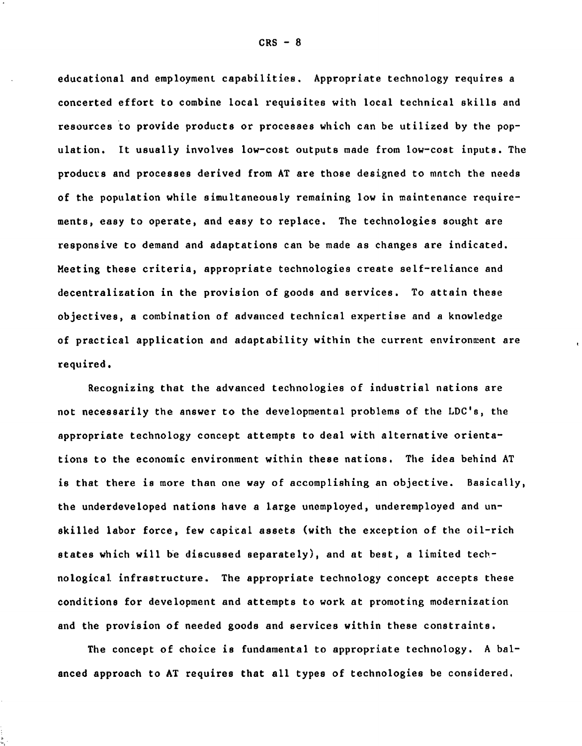educational and employment capabilities. Appropriate technology requires a concerted effort to combine local requisites with local technical skills and resources to provide products or processes which can be utilized by the population. It usually involves low-cost outputs made from low-cost inputs. The products and processes derived from AT are those designed to match the needs of the population while simultaneously remaining low in maintenance requirements, easy to operate, and easy to replace. The technologies sought are responsive to demand and adaptations can be made as changes are indicated. Meeting these criteria, appropriate technologies create self-reliance and decentralization in the provision of goods and services. To attain these objectives, a combination of advanced technical expertise and a knowledge of practical application and adaptability within the current environment are required.

Recognizing that the advanced technologies of industrial nations are not necessarily the answer to the developmental problems of the LDC's, the appropriate technology concept attempts to deal with alternative orientations to the economic environment within these nations. The idea behind AT is that there is more than one way of accomplishing an objective. Basically, the underdeveloped nations have a large unemployed, underemployed and unskilled labor force, few capital assets (with the exception of the oil-rich states which will be discussed separately), and at best, a limited technological infrastructure. The appropriate technology concept accepts these conditions for development and attempts to work at promoting modernization and the provision of needed goods and services within these constraints.

The concept of choice is fundamental to appropriate technology. A balanced approach to **AT** requires that all types of technologies be considered.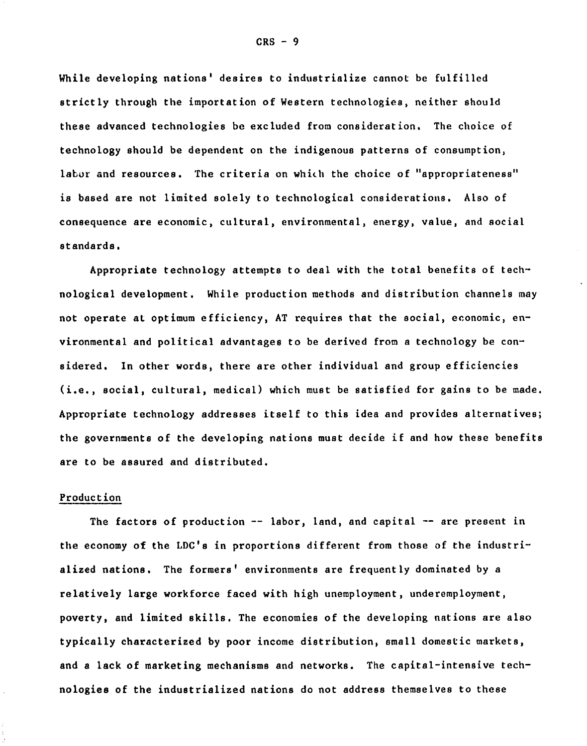While developing nations' desires to industrialize cannot be fulfilled strictly through the importation of Western technologies, neither should these advanced technologies be excluded from consideration. The choice of technology should be dependent on the indigenous patterns of consumption, labor and resources. The criteria on which the choice of "appropriateness" is based are not limited solely to technological considerations. Also of consequence are economic, cultural, environmental, energy, value, and social standards.

Appropriate technology attempts to deal with the total benefits of technological development. While production methods and distribution channels may not operate at optimum efficiency, AT requires that the social, economic, environmental and political advantages to be derived from a technology be considered. In other words, there are other individual and group efficiencies (i.e., social, cultural, medical) which must be satisfied for gains to be made. Appropriate technology addresses itself to this idea and provides alternatives; the governments of the developing nations must decide if and how these benefits are to be assured and distributed.

#### Production

The factors of production  $-$  labor, land, and capital  $-$  are present in the economy of the LDC's in proportions different from those of the industrialized nations. The formers' environments are frequently dominated by a relatively large workforce faced with high unemployment, underemployment, poverty, and limited skills. The economies of the developing nations are also typically characterized **by** poor income distribution, small domestic markets, and a lack of marketing mechanisms and networks. The capital-intensive technologies of the industrialized nations do not address themselves to these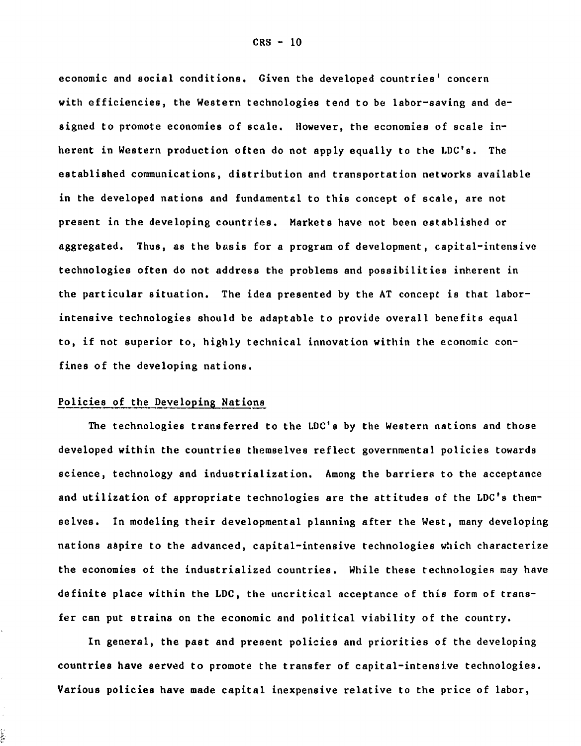economic and social conditions. Given the developed countries' concern with efficiencies, the Western technologies tend to be labor-saving and designed to promote economies of scale. However, the economies of scale inherent in Western production often do not apply equally to the **LDC's.** The established communications, distribution and transportation networks available in the developed nations and fundamental to this concept of scale, are not present in the developing countries. Markets have not been established or aggregated. Thus, as the basis for a program of development, capital-intensive technologies often do not address the problems and possibilities inherent in the particular situation. The idea presented **by** the **AT** concept is that laborintensive technologies should be adaptable to provide overall benefits equal to, if not superior to, **highly** technical innovation within the economic confines of the developing nations.

### Policies of the Developing Nations

i<br>In

The technologies transferred to the LDC's **by** the Western nations and those developed within the countries themselves reflect governmental policies towards science, technology and industrialization. Among the barriers to the acceptance and utilization of appropriate technologies are the attitudes of the LDC's themselves. In modeling their developmental planning after the West, many developing nations aspire to the advanced, capital-intensive technologies which characterize the economies of the industrialized countries. While these technologies may have definite place within the **LDC,** the uncritical acceptance of this form of transfer can put strains on the economic and political viability of the country.

In general, the past and present policies and priorities of the developing countries have served to promote the transfer of capital-intensive technologies. Various policies have made capital inexpensive relative to the price of labor,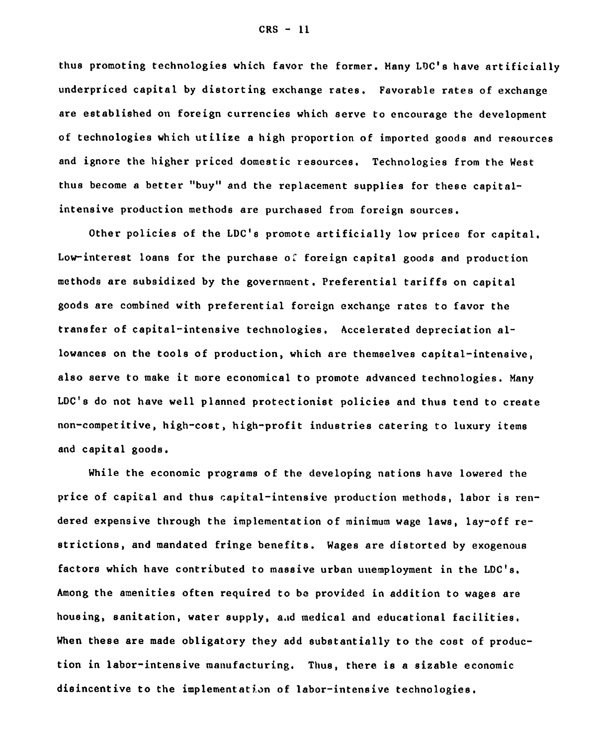thus promoting technologies which favor the former. Many LDC's have artificially underpriced capital **by** distorting exchange rates. Favorable rates of exchange are established on foreign currencies which serve to encourage the development of technologies which utilize a high proportion of imported goods and resources and ignore the higher priced domestic resources. Technologies from the West thus become a better **"buy"** and the replacement supplies for these capitalintensive production methods are purchased from foreign sources.

Other policies of the LDC's promote artificially low prices for capital. Low-interest loans for the purchase of foreign capital goods and production methods are subsidized **by** the government. Preferential tariffs on capital goods are combined with preferential foreign exchange rates to favor the transfer of capital-intensive technologies. Accelerated depreciation allowances on the tools of production, which are themselves capital-intensive, also serve to make it more economical to promote advanced technologies. Many LDC's do not have well planned protectionist policies and thus tend to create non-competitive, high-cost, high-profit industries catering to luxury items and capital goods.

While the economic programs of the developing nations have lowered the price of capital and thus capital-intensive production methods, labor is rendered expensive through the implementation of minimum wage laws, lay-off restrictions, and mandated fringe benefits. Wages are distorted **by** exogenous factors which have contributed to massive urban unemployment in the LDC's. Among the amenities often required to **be** provided in addition to wages are housing, sanitation, water supply, a.id medical and educational facilities. When these are made obligatory they add substantially to the cost of production in labor-intensive manufacturing. Thus, there is a sizable economic disincentive to the implementation of labor-intensive technologies.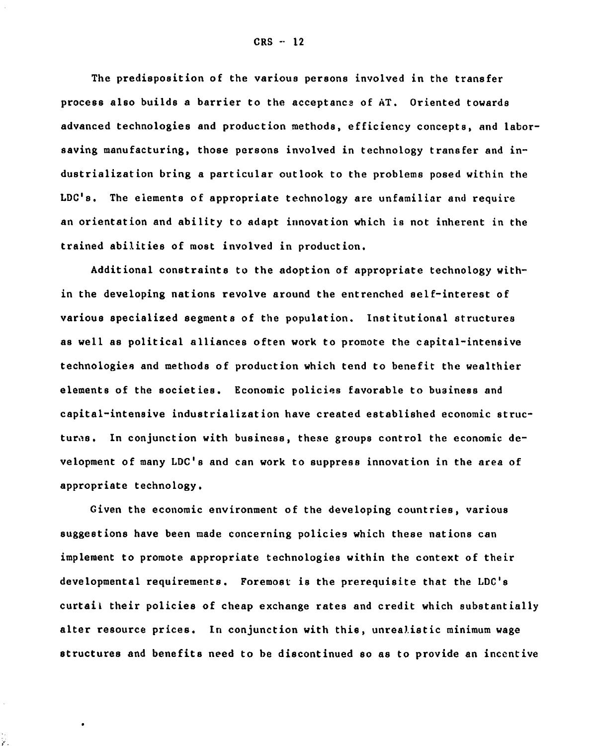The predisposition of the various persons involved in the transfer process also builds a barrier to the acceptance of **AT.** Oriented towards advanced technologies and production methods, efficiency concepts, and laborsaving manufacturing, those persons involved in technology transfer and industrialization bring a particular outlook to the problems posed within the LDC's. The elements of appropriate technology are unfamiliar and require an orientation and ability to adapt innovation which is not inherent in the trained abilities of most involved in production.

Additional constraints to the adoption of appropriate technology within the developing nations revolve around the entrenched self-interest of various specialized segments of the population. Institutional structures as well as political alliances often work to promote the capital-intensive technologies and methods of production which tend to benefit the wealthier elements of the societies. Economic policies favorable to business and capital-intensive industrialization have created established economic structures. In conjunction with business, these groups control the economic development of many **LDC's** and can work to suppress innovation in the area of appropriate technology.

Given the economic environment of the developing countries, various suggestions have been made concerning policies which these nations can implement to promote appropriate technologies within the context of their developmental requirements. Foremost is the prerequisite that the **LDC's** curtail their policies of cheap exchange rates and credit which substantially alter resource prices. In conjunction with this, unrealistic minimum wage structures and benefits need to be discontinued so as to provide an incentive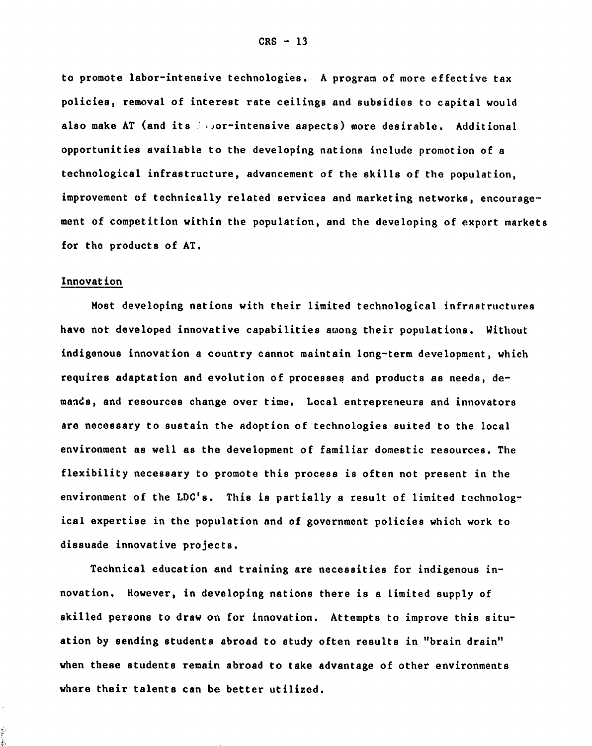to promote labor-intensive technologies. **A** program of more effective tax policies, removal of interest rate ceilings and subsidies to capital would also make AT (and its *..* , or-intensive aspects) more desirable. Additional opportunities available to the developing nations include promotion of a technological infrastructure, advancement of the skills of the population, improvement of technically related services and marketing networks, encouragement of competition within the population, and the developing of export markets for the products of **AT.**

### Innovation

Most developing nations with their limited technological infrastructures have not developed innovative capabilities among their populations. Without indigenous innovation a country cannot maintain long-term development, which requires adaptation and evolution of processes and products as needs, demands, and resources change over time. Local entrepreneurs and innovators are necessary to sustain the adoption of technologies suited to the local environment as well as the development of familiar domestic resources. The flexibility necessary to promote this process is often not present in the environment of the LDC's. This is partially a result of limited technological expertise in the population and of government policies which work to dissuade innovative projects.

Technical education and training are necessities for indigenous innovation. However, in developing nations there is a limited supply of skilled persons to draw on for innovation. Attempts to improve this situation **by** sending students abroad to study often results in "brain drain" when these students remain abroad to take advantage of other environments where their talents can be better utilized.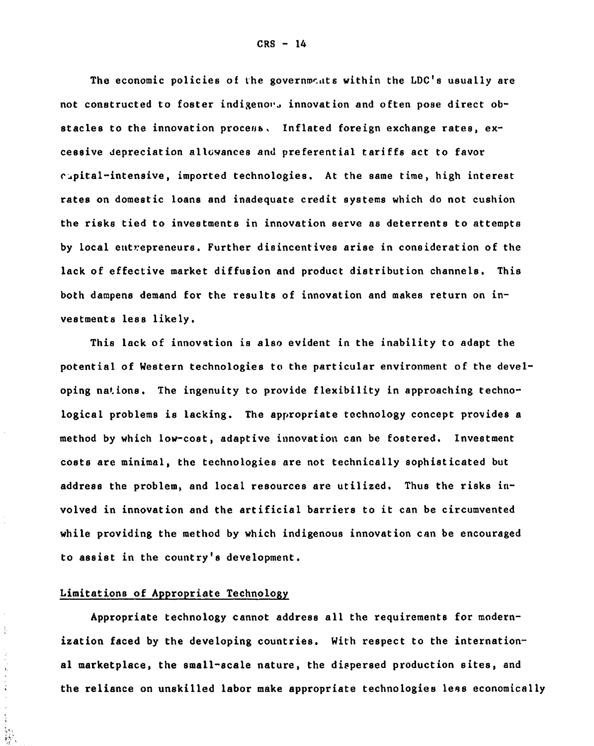The economic policies of the governments within the LDC's usually are not constructed to foster indigenous innovation and often pose direct obstacles to the innovation process. Inflated foreign exchange rates, excessive depreciation allowances and preferential tariffs act to favor capital-intensive, imported technologies. At the same time, high interest rates on domestic loans and inadequate credit systems which do not cushion the risks tied to investments in innovation serve as deterrents to attempts **by** local entrepreneurs. Further disincentives arise in consideration of the lack of effective market diffusion and product distribution channels. This both dampens demand for the results of innovation and makes return on investments less likely.

This lack of innovation is also evident in the inability to adapt the potential of Western technologies to the particular environment of the developing nations. The ingenuity to provide flexibility in approaching technological problems is lacking. The appropriate technology concept provides a method **by** which low-cost, adaptive innovation can be fostered. Investment costs are minimal, the technologies are not technically sophisticated but address the problem, and local resources are utilized. Thus the risks involved in innovation and the artificial barriers to it can be circumvented while providing the method **by** which indigenous innovation can be encouraged to assist in the country's development.

# Limitations of Appropriate Technology

 $\frac{1}{\zeta}$ 

 $\overline{\phantom{a}}$ 

ik<br>Mi

Appropriate technology cannot address all the requirements for modernization faced **by** the developing countries. With respect to the international marketplace, the small-scale nature, the dispersed production sites, and the reliance on unskilled labor make appropriate technologies less economically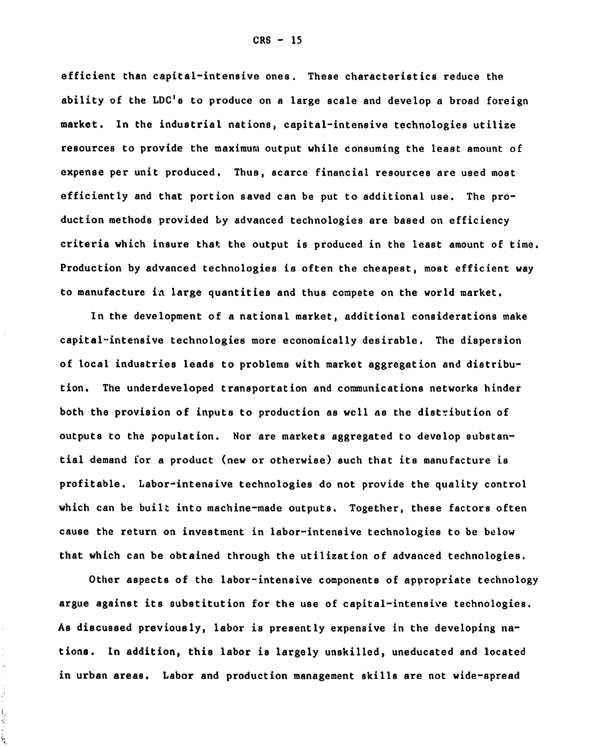efficient than capital-intensive ones. These characteristics reduce the ability of the **LDC's** to produce on a large scale and develop a broad foreign market. In the industrial nations, capital-intensive technologies utilize resources to provide the maximum output while consuming the least amount of expense per unit produced. Thus, scarce financial resources are used most efficiently and that portion saved can be put to additional use. The production methods provided **by** advanced technologies are based on efficiency criteria which insure that the output is produced in the least amount of time. Production **by** advanced technologies is often the cheapest, most efficient way to manufacture in large quantities and thus compete on the world market.

In the development of a national market, additional considerations make capital-intensive technologies more economically desirable. The dispersion of local industries leads to problems with market aggregation and distribution. The underdeveloped transportation and communications networks hinder both the provision of inputs to production as well as the distribution of outputs to the population. Nor are markets aggregated to develop substantial demand for a product (new or otherwise) such that its manufacture is profitable. Labor-intensive technologies do not provide the quality control which can be built into machine-made outputs. Together, these factors often cause the return on investment in labor-intensive technologies to be below that which can be obtained through the utilization of advanced technologies.

Other aspects of the labor-intensive components of appropriate technology argue against its substitution for the use of capital-intensive technologies. **As** discussed previously, labor is presently expensive in the developing nations. In addition, this labor is largely unskilled, uneducated and located in urban areas. Labor and production management skills are not wide-spread

 $\ddot{\phantom{a}}$ Ļ,

 $\frac{1}{2}$  $\frac{3}{2}$ ŷ Š,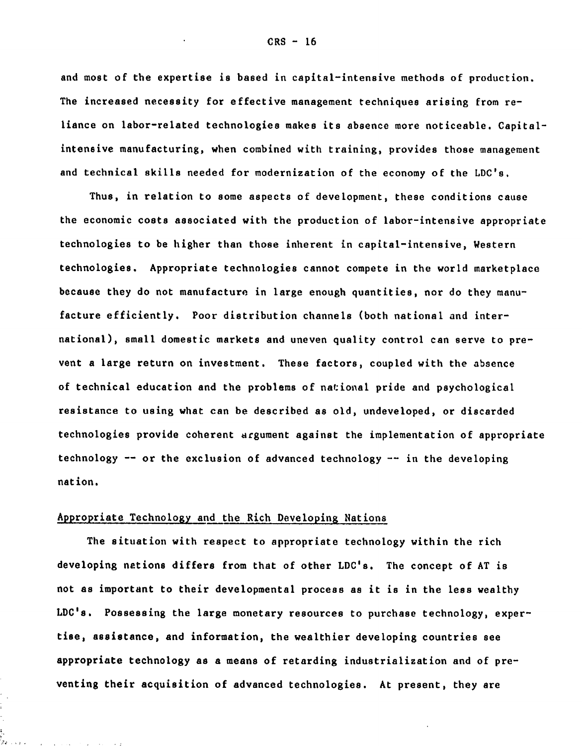and most of the expertise is based in capital-intensive methods of production. The increased necessity for effective management techniques arising from reliance on labor-related technologies makes its absence more noticeable. Capitalintensive manufacturing, when combined with training, provides those management and technical skills needed for modernization of the economy of the LDC's.

Thus, in relation to some aspects of development, these conditions cause the economic costs associated with the production of labor-intensive appropriate technologies to be higher than those inherent in capital-intensive, Western technologies. Appropriate technologies cannot compete in the world marketplace because they do not manufacture in large enough quantities, nor do they manufacture efficiently. Poor distribution channels (both national and international), small domestic markets and uneven quality control can serve to prevent a large return on investment. These factors, coupled with the absence of technical education and the problems of national pride and psychological resistance to using what can be described as old, undeveloped, or discarded technologies provide coherent argument against the implementation of appropriate technology **--** or the exclusion of advanced technology -- in the developing nation.

## Appropriate Technology and the Rich Developing Nations

the contract of the contract of the contract

The situation with respect to appropriate technology within the rich developing nations differs from that of other LDC's. The concept of **AT** is not as important to their developmental process as it is in the less wealthy **LDC's.** Possessing the large monetary resources to purchase technology, expertise, assistance, and information, the wealthier developing countries see appropriate technology as a means of retarding industrialization and of preventing their acquisition of advanced technologies. At present, they are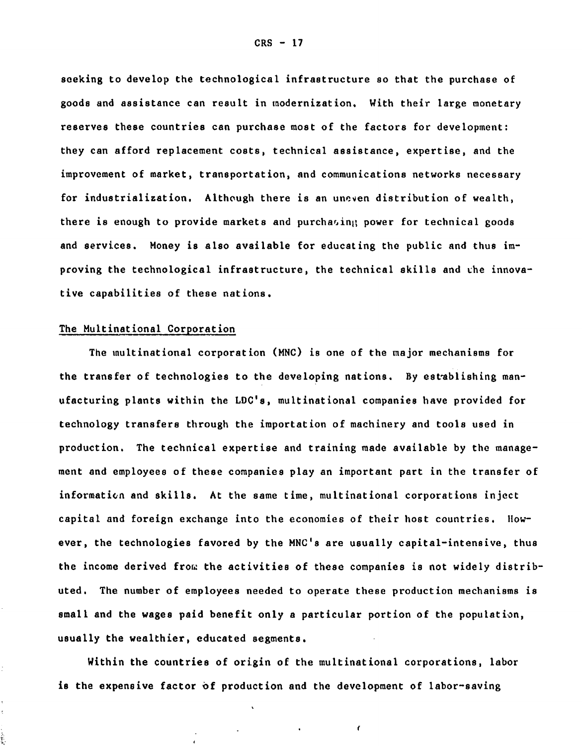seeking to develop the technological infrastructure so that the purchase of goods and assistance can result in modernization. With their large monetary reserves these countries can purchase most of the factors for development: they can afford replacement costs, technical assistance, expertise, and the improvement of market, transportation, and communications networks necessary for industrialization. Although there is an uneven distribution of wealth, there is enough to provide markets and purchasing power for technical goods and services. Money is also available for educating the public and thus improving the technological infrastructure, the technical skills and the innovative capabilities of these nations.

## The Multinational Corporation

The multinational corporation (MNC) is one of the major mechanisms for the transfer of technologies to the developing nations. By establishing manufacturing plants within the LDC's, multinational companies have provided for technology transfers through the importation of machinery and tools used in production. The technical expertise and training made available **by** the management and employees of these companies play an important part in the transfer of information and skills. At the same time, multinational corporations inject capital and foreign exchange into the economies of their host countries. However, the technologies favored **by** the MNC's are usually capital-intensive, thus the income derived from the activities of these companies is not widely distributed. The number of employees needed to operate these production mechanisms is small and the wages paid benefit only a particular portion of the population, usually the wealthier, educated segments.

Within the countries of origin of the multinational corporations, labor is the expensive factor of production and the development of labor-saving

ť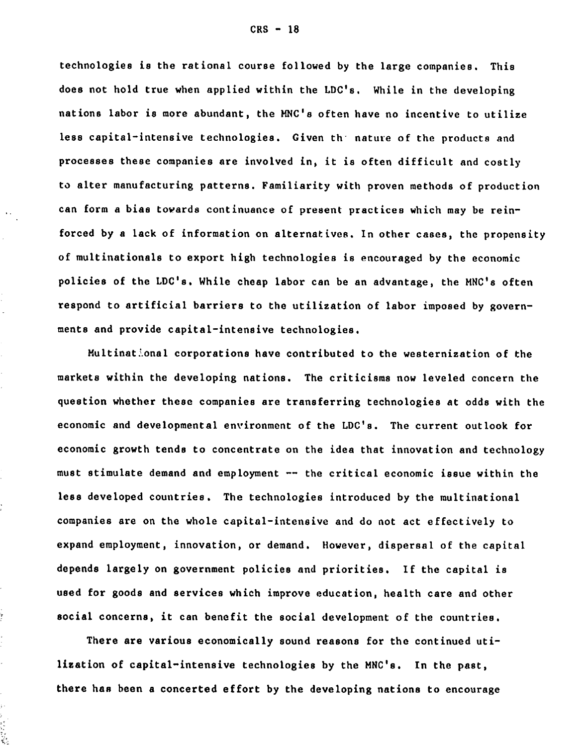technologies is the rational course followed **by** the large companies. This does not hold true when applied within the LDC's. While in the developing nations labor is more abundant, the MNC's often have no incentive to utilize less capital-intensive technologies. Given th nature of the products and processes these companies are involved in, it is often difficult and costly to alter manufacturing patterns. Familiarity with proven methods of production can form a bias towards continuance of present practices which may be reinforced **by** a lack of information on alternatives. In other cases, the propensity of multinationals to export high technologies is encouraged **by** the economic policies of the LDC's. While cheap labor can be an advantage, the MNC's often respond to artificial barriers to the utilization of labor imposed **by** governments and provide capital-intensive technologies.

 $\mathbf{r}$  .

Multinational corporations have contributed to the westernization of the markets within the developing nations. The criticisms now leveled concern the question whether these companies are transferring technologies at odds with the economic and developmental environment of the **LDC's.** The current outlook for economic growth tends to concentrate on the idea that innovation and technology must stimulate demand and employment **--** the critical economic issue within the less developed countries. The technologies introduced by the multinational companies are on the whole capital-intensive and do not act effectively to expand employment, innovation, or demand. However, dispersal of the capital depends largely on government policies and priorities. If the capital is used for goods and services which improve education, health care and other social concerns, it can benefit the social development of the countries.

There are various economically sound reasons for the continued utilization of capital-intensive technologies **by** the MNC's. In the past, there has been a concerted effort **by** the developing nations to encourage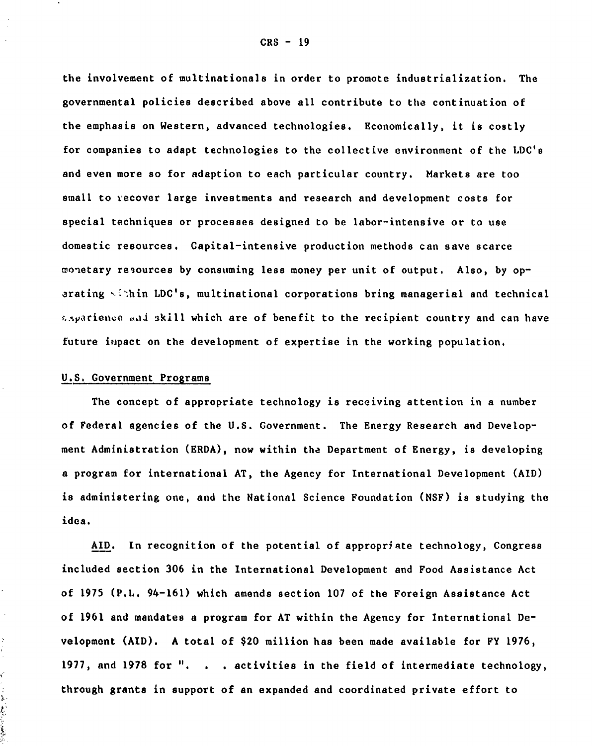the involvement of multinationals in order to promote industrialization. The governmental policies described above all contribute to the continuation of the emphasis on Western, advanced technologies. Economically, it is costly for companies to adapt technologies to the collective environment of the LDC's and even more so for adaption to each particular country. Markets are too small to recover large investments and research and development costs for special techniques or processes designed to be labor-intensive or to use domestic resources. Capital-intensive production methods can save scarce monetary resources **by** consuming less money per unit of output. Also, **by** operating -':hin **LDC's,** multinational corporations bring managerial and technical  $\epsilon$ -sparience and skill which are of benefit to the recipient country and can have future impact on the development of expertise in the working population.

#### **U.S.** Government Programs

The concept of appropriate technology is receiving attention in a number of Federal agencies of the **U.S.** Government. The Energy Research and Development Administration (ERDA), now within the Department of Energy, is developing a program for international **AT,** the Agency for International Development **(AID)** is administering one, and the National Science Foundation (NSF) is studying the idea.

AID. In recognition of the potential of appropriate technology, Congress included section 306 in the International Development and Food Assistance Act of 1975 (P.L. 94-161) which amends section **107** of the Foreign Assistance Act of 1961 and mandates a program for AT within the Agency for International Development (AID). A total of \$20 million has been made available for FY **1976,** 1977, and **1978** for **".** . **.** activities in the field of intermediate technology, through grants in support of an expanded and coordinated private effort to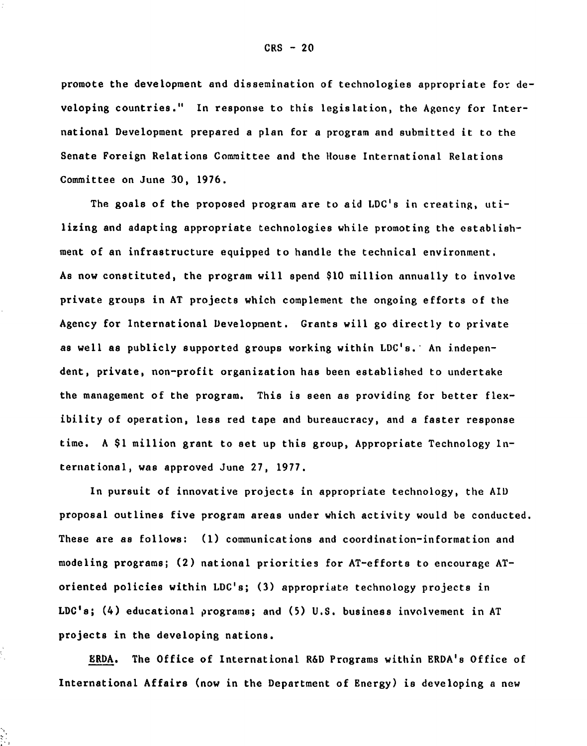promote the development and dissemination of technologies appropriate for **de**veloping countries." In response to this legislation, the Agency for International Development prepared a plan for a program and submitted it to the Senate Foreign Relations Committee and the House International Relations Committee on June **30,** 1976.

The goals of the proposed program are to aid LDC's in creating, utilizing and adapting appropriate technologies while promoting the establishment of an infrastructure equipped to handle the technical environment. As now constituted, the program will spend \$10 million annually to involve private groups in AT projects which complement the ongoing efforts of the Agency for International Development. Grants will go directly to private as well as publicly supported groups working within LDC's. An independent, private, non-profit organization has been established to undertake the management of the program. This is seen as providing for better flexibility of operation, less red tape and bureaucracy, and a faster response time. A \$1 million grant to set up this group, Appropriate Technology International, was approved June **27, 1977.**

In pursuit of innovative projects in appropriate technology, the AID proposal outlines five program areas under which activity would be conducted. These are as follows: (1) communications and coordination-information and modeling programs; (2) national priorities for AT-efforts to encourage AToriented policies within **LDC's; (3)** appropriate technology projects in **LDC's;** (4) educational programs; and **(5) U.S.** business involvement in **AT** projects in the developing nations.

ERDA. The Office of International R&D Programs within ERDA's Office of International Affairs (now in the Department of Energy) is developing a new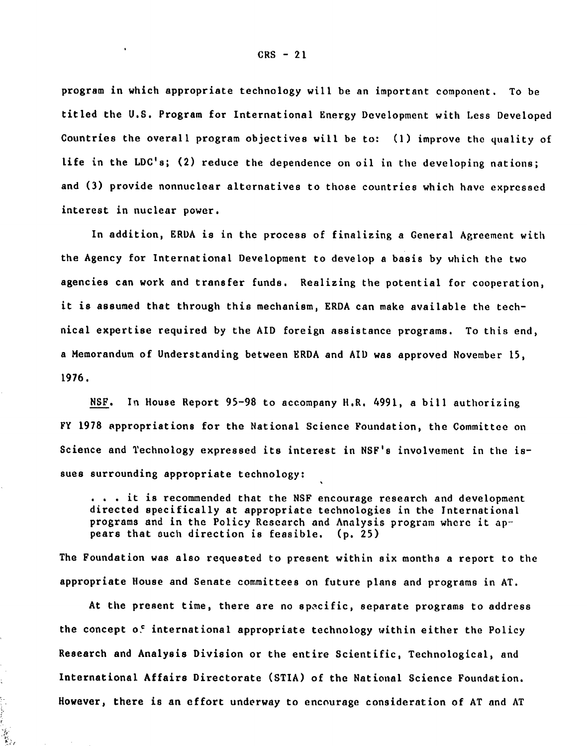program in which appropriate technology will be an important component. To be titled the **U.S.** Program for International Energy Development with Less Developed Countries the overall program objectives will be to: **(1)** improve the quality of life in the LDC's; (2) reduce the dependence on oil in the developing nations; and **(3)** provide nonnuclear alternatives to those countries which have expressed interest in nuclear power.

In addition, ERDA is in the process of finalizing a General Agreement with the Agency for International Development to develop a basis by which the two agencies can work and transfer funds. Realizing the potential for cooperation, it is assumed that through this mechanism, ERDA can make available the technical expertise required **by** the AID foreign assistance programs. To this end, a Memorandum of Understanding between ERDA and AID was approved November 15, 1976.

**NSF.** In House Report 95-98 to accompany H.R. 4991, a bill authorizing FY 1978 appropriations for the National Science Foundation, the Committee on Science and Technology expressed its interest in NSF's involvement in the issues surrounding appropriate technology:

. . **.** it is recommended that the **NSF** encourage research and development directed specifically at appropriate technologies in the International programs and in the Policy Research and Analysis program where it appears that such direction is feasible. **(p. 25)**

The Foundation was also requested to present within six months a report to the appropriate House and Senate committees on future plans and programs in **AT.**

At the present time, there are no specific, separate programs to address the concept **of** international appropriate technology within either the Policy Research and Analysis Division or the entire Scientific, Technological, and International Affairs Directorate **(STIA)** of the National Science Foundation. However, there is an effort underway to encourage consideration of **AT** and AT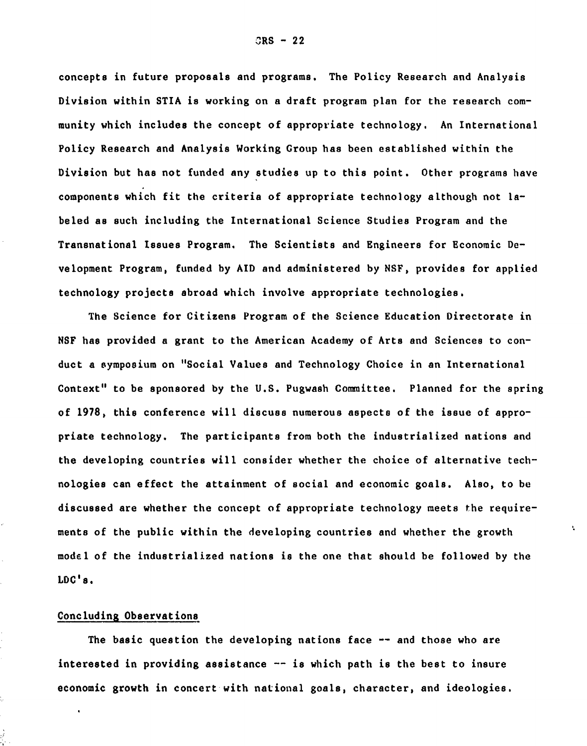concepts in future proposals and programs. The Policy Research and Analysis Division within STIA is working on a draft program plan for the research community which includes the concept of appropriate technology. An International Policy Research and Analysis Working Group has been established within the Division but has not funded any studies up to this point. Other programs have components which fit the criteria of appropriate technology although not labeled as such including the International Science Studies Program and the Transnational Issues Program. The Scientists and Engineers for Economic Development Program, funded **by** AID and administered **by NSF,** provides for applied technology projects abroad which involve appropriate technologies.

The Science for Citizens Program of the Science Education Directorate in **NSF** has provided a grant to the American Academy of Arts and Sciences to conduct a symposium on "Social Values and Technology Choice in an International Context" to be sponsored **by** the **U.S.** Pugwash Committee. Planned for the spring of **1978,** this conference will discuss numerous aspects of the issue of appropriate technology. The participants from both the industrialized nations and the developing countries will consider whether the choice of alternative technologies can effect the attainment of social and economic goals. Also, to be discussed are whether the concept of appropriate technology meets the requirements of the public within the developing countries and whether the growth model of the industrialized nations is the one that should be followed **by** the **LDC's.**

ŧ.

## Concluding Observations

The basic question the developing nations face **--** and those who are interested in providing assistance **--** is which path is the best to insure economic growth in concert with national goals, character, and ideologies.